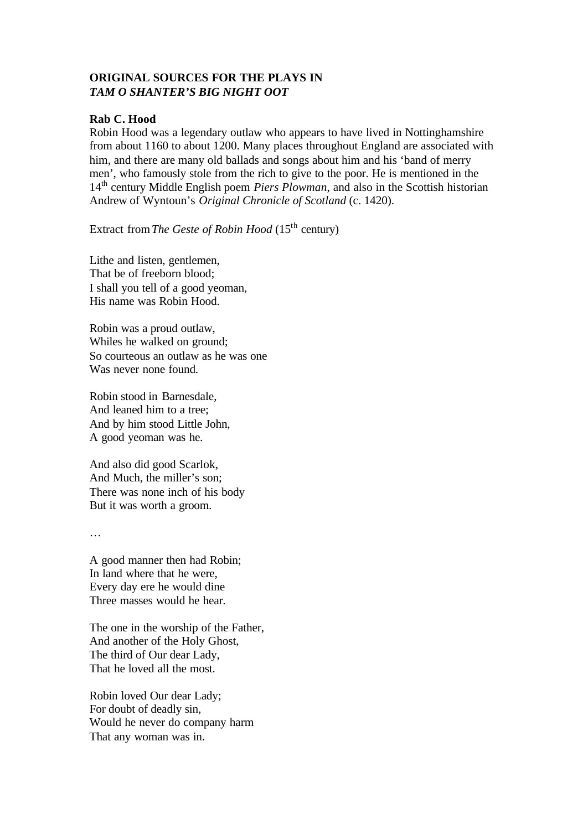# **ORIGINAL SOURCES FOR THE PLAYS IN** *TAM O SHANTER'S BIG NIGHT OOT*

## **Rab C. Hood**

Robin Hood was a legendary outlaw who appears to have lived in Nottinghamshire from about 1160 to about 1200. Many places throughout England are associated with him, and there are many old ballads and songs about him and his 'band of merry men', who famously stole from the rich to give to the poor. He is mentioned in the 14th century Middle English poem *Piers Plowman*, and also in the Scottish historian Andrew of Wyntoun's *Original Chronicle of Scotland* (c. 1420).

Extract from *The Geste of Robin Hood* (15<sup>th</sup> century)

Lithe and listen, gentlemen, That be of freeborn blood; I shall you tell of a good yeoman, His name was Robin Hood.

Robin was a proud outlaw, Whiles he walked on ground; So courteous an outlaw as he was one Was never none found.

Robin stood in Barnesdale, And leaned him to a tree; And by him stood Little John, A good yeoman was he.

And also did good Scarlok, And Much, the miller's son; There was none inch of his body But it was worth a groom.

…

A good manner then had Robin; In land where that he were, Every day ere he would dine Three masses would he hear.

The one in the worship of the Father, And another of the Holy Ghost, The third of Our dear Lady, That he loved all the most.

Robin loved Our dear Lady; For doubt of deadly sin, Would he never do company harm That any woman was in.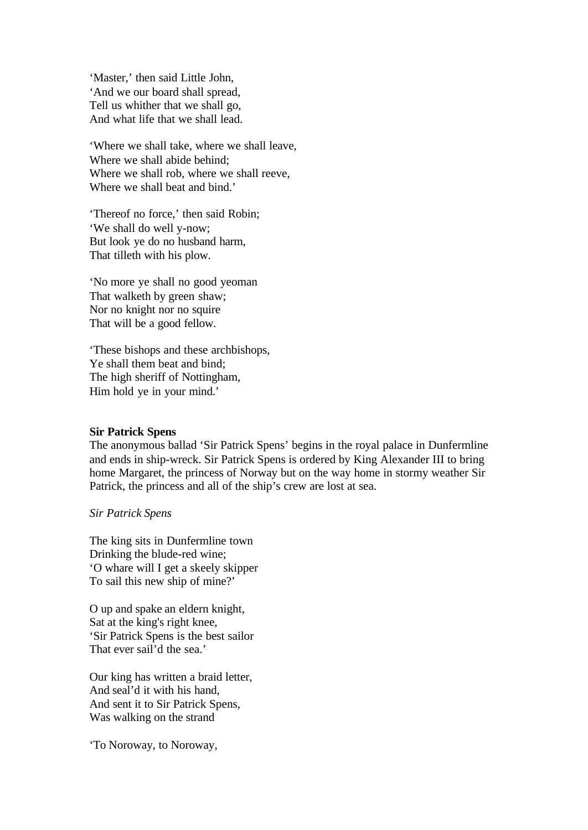'Master,' then said Little John, 'And we our board shall spread, Tell us whither that we shall go, And what life that we shall lead.

'Where we shall take, where we shall leave, Where we shall abide behind; Where we shall rob, where we shall reeve, Where we shall beat and bind.'

'Thereof no force,' then said Robin; 'We shall do well y-now; But look ye do no husband harm, That tilleth with his plow.

'No more ye shall no good yeoman That walketh by green shaw; Nor no knight nor no squire That will be a good fellow.

'These bishops and these archbishops, Ye shall them beat and bind; The high sheriff of Nottingham, Him hold ye in your mind.'

### **Sir Patrick Spens**

The anonymous ballad 'Sir Patrick Spens' begins in the royal palace in Dunfermline and ends in ship-wreck. Sir Patrick Spens is ordered by King Alexander III to bring home Margaret, the princess of Norway but on the way home in stormy weather Sir Patrick, the princess and all of the ship's crew are lost at sea.

### *Sir Patrick Spens*

The king sits in Dunfermline town Drinking the blude-red wine; 'O whare will I get a skeely skipper To sail this new ship of mine?'

O up and spake an eldern knight, Sat at the king's right knee, 'Sir Patrick Spens is the best sailor That ever sail'd the sea.'

Our king has written a braid letter, And seal'd it with his hand, And sent it to Sir Patrick Spens, Was walking on the strand

'To Noroway, to Noroway,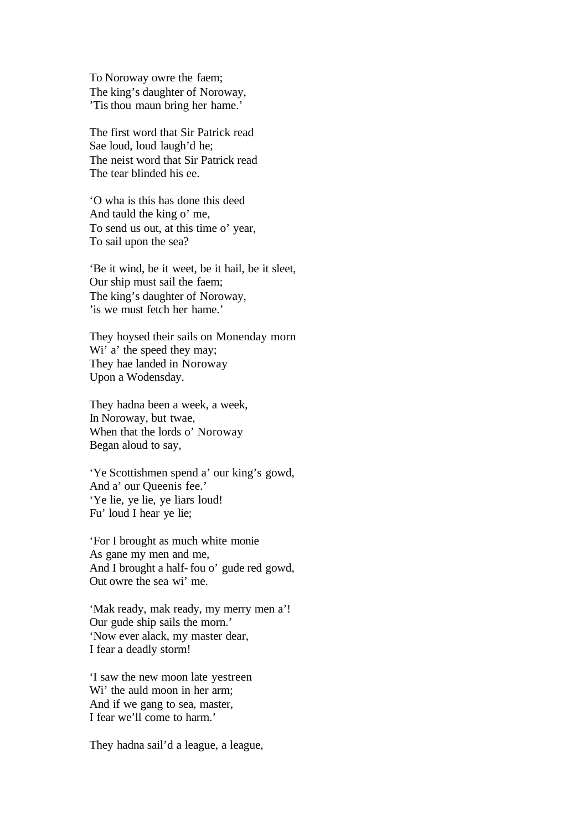To Noroway owre the faem; The king's daughter of Noroway, 'Tis thou maun bring her hame.'

The first word that Sir Patrick read Sae loud, loud laugh'd he; The neist word that Sir Patrick read The tear blinded his ee.

'O wha is this has done this deed And tauld the king o' me, To send us out, at this time o' year, To sail upon the sea?

'Be it wind, be it weet, be it hail, be it sleet, Our ship must sail the faem; The king's daughter of Noroway, 'is we must fetch her hame.'

They hoysed their sails on Monenday morn Wi' a' the speed they may; They hae landed in Noroway Upon a Wodensday.

They hadna been a week, a week, In Noroway, but twae, When that the lords o' Noroway Began aloud to say,

'Ye Scottishmen spend a' our king's gowd, And a' our Queenis fee.' 'Ye lie, ye lie, ye liars loud! Fu' loud I hear ye lie;

'For I brought as much white monie As gane my men and me, And I brought a half- fou o' gude red gowd, Out owre the sea wi' me.

'Mak ready, mak ready, my merry men a'! Our gude ship sails the morn.' 'Now ever alack, my master dear, I fear a deadly storm!

'I saw the new moon late yestreen Wi' the auld moon in her arm: And if we gang to sea, master, I fear we'll come to harm.'

They hadna sail'd a league, a league,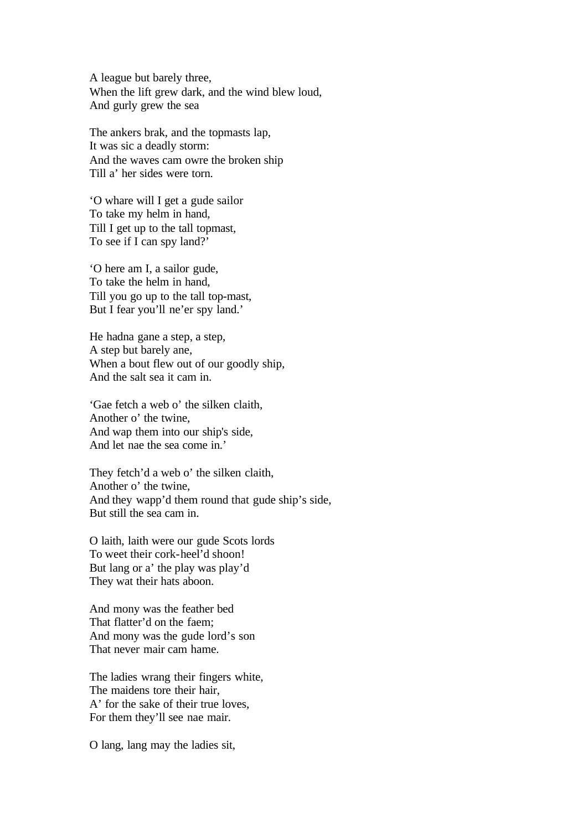A league but barely three, When the lift grew dark, and the wind blew loud, And gurly grew the sea

The ankers brak, and the topmasts lap, It was sic a deadly storm: And the waves cam owre the broken ship Till a' her sides were torn.

'O whare will I get a gude sailor To take my helm in hand, Till I get up to the tall topmast, To see if I can spy land?'

'O here am I, a sailor gude, To take the helm in hand, Till you go up to the tall top-mast, But I fear you'll ne'er spy land.'

He hadna gane a step, a step, A step but barely ane, When a bout flew out of our goodly ship, And the salt sea it cam in.

'Gae fetch a web o' the silken claith, Another o' the twine, And wap them into our ship's side, And let nae the sea come in.'

They fetch'd a web o' the silken claith, Another o' the twine, And they wapp'd them round that gude ship's side, But still the sea cam in.

O laith, laith were our gude Scots lords To weet their cork-heel'd shoon! But lang or a' the play was play'd They wat their hats aboon.

And mony was the feather bed That flatter'd on the faem; And mony was the gude lord's son That never mair cam hame.

The ladies wrang their fingers white, The maidens tore their hair, A' for the sake of their true loves, For them they'll see nae mair.

O lang, lang may the ladies sit,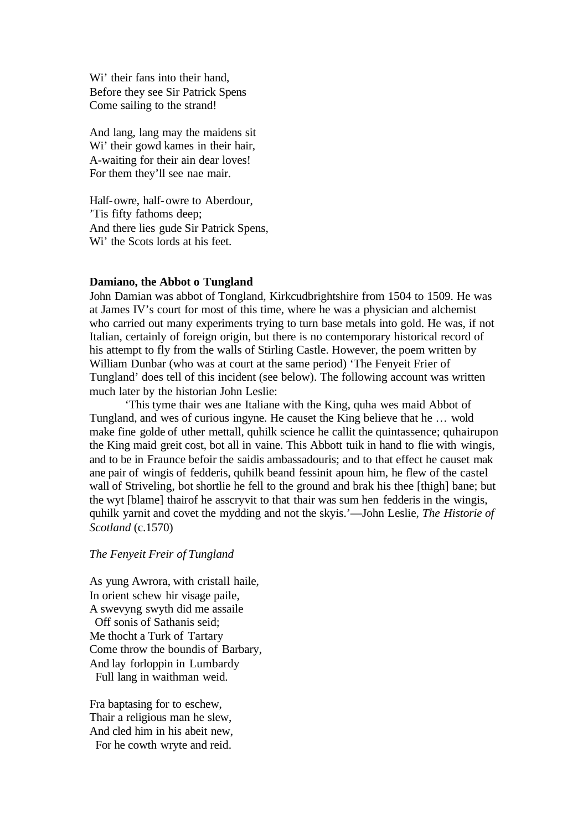Wi' their fans into their hand, Before they see Sir Patrick Spens Come sailing to the strand!

And lang, lang may the maidens sit Wi' their gowd kames in their hair, A-waiting for their ain dear loves! For them they'll see nae mair.

Half-owre, half-owre to Aberdour, 'Tis fifty fathoms deep; And there lies gude Sir Patrick Spens, Wi' the Scots lords at his feet.

#### **Damiano, the Abbot o Tungland**

John Damian was abbot of Tongland, Kirkcudbrightshire from 1504 to 1509. He was at James IV's court for most of this time, where he was a physician and alchemist who carried out many experiments trying to turn base metals into gold. He was, if not Italian, certainly of foreign origin, but there is no contemporary historical record of his attempt to fly from the walls of Stirling Castle. However, the poem written by William Dunbar (who was at court at the same period) 'The Fenyeit Frier of Tungland' does tell of this incident (see below). The following account was written much later by the historian John Leslie:

'This tyme thair wes ane Italiane with the King, quha wes maid Abbot of Tungland, and wes of curious ingyne. He causet the King believe that he … wold make fine golde of uther mettall, quhilk science he callit the quintassence; quhairupon the King maid greit cost, bot all in vaine. This Abbott tuik in hand to flie with wingis, and to be in Fraunce befoir the saidis ambassadouris; and to that effect he causet mak ane pair of wingis of fedderis, quhilk beand fessinit apoun him, he flew of the castel wall of Striveling, bot shortlie he fell to the ground and brak his thee [thigh] bane; but the wyt [blame] thairof he asscryvit to that thair was sum hen fedderis in the wingis, quhilk yarnit and covet the mydding and not the skyis.'—John Leslie, *The Historie of Scotland* (c.1570)

#### *The Fenyeit Freir of Tungland*

As yung Awrora, with cristall haile, In orient schew hir visage paile, A swevyng swyth did me assaile Off sonis of Sathanis seid; Me thocht a Turk of Tartary Come throw the boundis of Barbary, And lay forloppin in Lumbardy Full lang in waithman weid.

Fra baptasing for to eschew, Thair a religious man he slew, And cled him in his abeit new, For he cowth wryte and reid.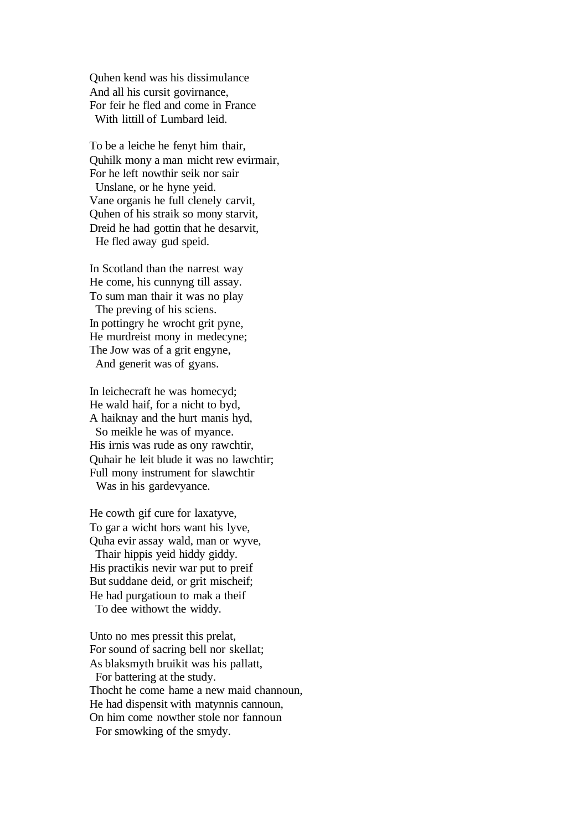Quhen kend was his dissimulance And all his cursit govirnance, For feir he fled and come in France With littill of Lumbard leid.

To be a leiche he fenyt him thair, Quhilk mony a man micht rew evirmair, For he left nowthir seik nor sair Unslane, or he hyne yeid. Vane organis he full clenely carvit, Quhen of his straik so mony starvit, Dreid he had gottin that he desarvit, He fled away gud speid.

In Scotland than the narrest way He come, his cunnyng till assay. To sum man thair it was no play The preving of his sciens. In pottingry he wrocht grit pyne, He murdreist mony in medecyne; The Jow was of a grit engyne, And generit was of gyans.

In leichecraft he was homecyd; He wald haif, for a nicht to byd, A haiknay and the hurt manis hyd, So meikle he was of myance. His irnis was rude as ony rawchtir, Quhair he leit blude it was no lawchtir; Full mony instrument for slawchtir Was in his gardevyance.

He cowth gif cure for laxatyve, To gar a wicht hors want his lyve, Quha evir assay wald, man or wyve, Thair hippis yeid hiddy giddy. His practikis nevir war put to preif But suddane deid, or grit mischeif; He had purgatioun to mak a theif To dee withowt the widdy.

Unto no mes pressit this prelat, For sound of sacring bell nor skellat; As blaksmyth bruikit was his pallatt, For battering at the study. Thocht he come hame a new maid channoun, He had dispensit with matynnis cannoun, On him come nowther stole nor fannoun For smowking of the smydy.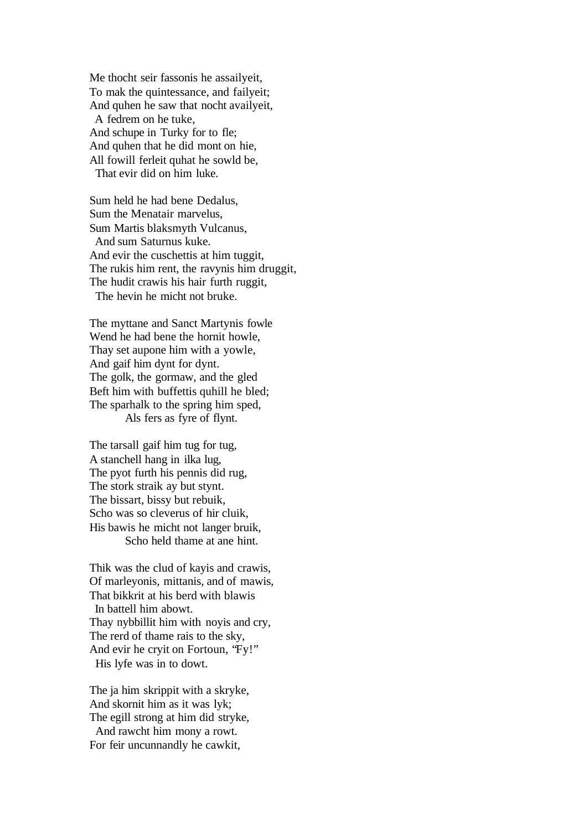Me thocht seir fassonis he assailyeit, To mak the quintessance, and failyeit; And quhen he saw that nocht availyeit, A fedrem on he tuke, And schupe in Turky for to fle; And quhen that he did mont on hie, All fowill ferleit quhat he sowld be, That evir did on him luke.

Sum held he had bene Dedalus, Sum the Menatair marvelus, Sum Martis blaksmyth Vulcanus, And sum Saturnus kuke. And evir the cuschettis at him tuggit, The rukis him rent, the ravynis him druggit, The hudit crawis his hair furth ruggit, The hevin he micht not bruke.

The myttane and Sanct Martynis fowle Wend he had bene the hornit howle, Thay set aupone him with a yowle, And gaif him dynt for dynt. The golk, the gormaw, and the gled Beft him with buffettis quhill he bled; The sparhalk to the spring him sped, Als fers as fyre of flynt.

The tarsall gaif him tug for tug, A stanchell hang in ilka lug, The pyot furth his pennis did rug, The stork straik ay but stynt. The bissart, bissy but rebuik, Scho was so cleverus of hir cluik, His bawis he micht not langer bruik, Scho held thame at ane hint.

Thik was the clud of kayis and crawis, Of marleyonis, mittanis, and of mawis, That bikkrit at his berd with blawis In battell him abowt. Thay nybbillit him with noyis and cry, The rerd of thame rais to the sky, And evir he cryit on Fortoun, "Fy!" His lyfe was in to dowt.

The ja him skrippit with a skryke, And skornit him as it was lyk; The egill strong at him did stryke, And rawcht him mony a rowt. For feir uncunnandly he cawkit,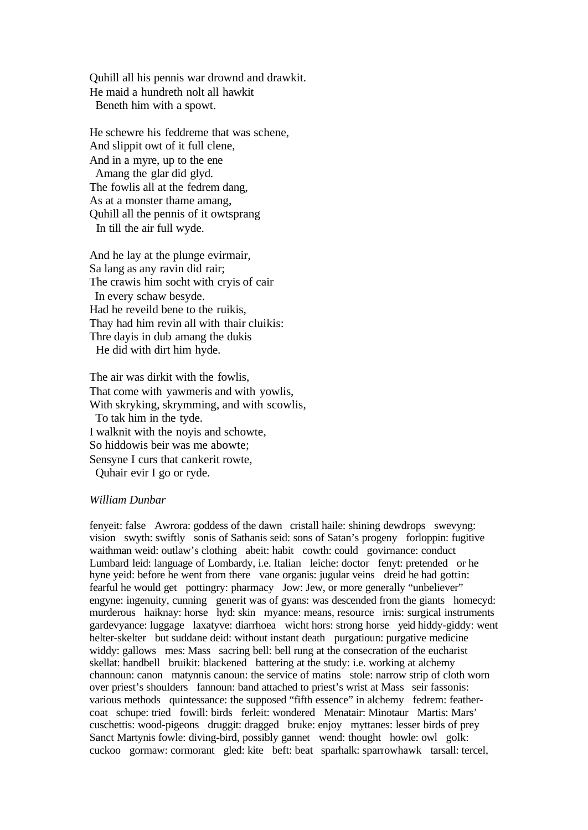Quhill all his pennis war drownd and drawkit. He maid a hundreth nolt all hawkit Beneth him with a spowt.

He schewre his feddreme that was schene, And slippit owt of it full clene, And in a myre, up to the ene Amang the glar did glyd. The fowlis all at the fedrem dang, As at a monster thame amang, Quhill all the pennis of it owtsprang In till the air full wyde.

And he lay at the plunge evirmair, Sa lang as any ravin did rair; The crawis him socht with cryis of cair In every schaw besyde. Had he reveild bene to the ruikis, Thay had him revin all with thair cluikis: Thre dayis in dub amang the dukis He did with dirt him hyde.

The air was dirkit with the fowlis, That come with yawmeris and with yowlis, With skryking, skrymming, and with scowlis, To tak him in the tyde. I walknit with the noyis and schowte, So hiddowis beir was me abowte; Sensyne I curs that cankerit rowte, Quhair evir I go or ryde.

### *William Dunbar*

fenyeit: false Awrora: goddess of the dawn cristall haile: shining dewdrops swevyng: vision swyth: swiftly sonis of Sathanis seid: sons of Satan's progeny forloppin: fugitive waithman weid: outlaw's clothing abeit: habit cowth: could govirnance: conduct Lumbard leid: language of Lombardy, i.e. Italian leiche: doctor fenyt: pretended or he hyne yeid: before he went from there vane organis: jugular veins dreid he had gottin: fearful he would get pottingry: pharmacy Jow: Jew, or more generally "unbeliever" engyne: ingenuity, cunning generit was of gyans: was descended from the giants homecyd: murderous haiknay: horse hyd: skin myance: means, resource irnis: surgical instruments gardevyance: luggage laxatyve: diarrhoea wicht hors: strong horse yeid hiddy-giddy: went helter-skelter but suddane deid: without instant death purgatioun: purgative medicine widdy: gallows mes: Mass sacring bell: bell rung at the consecration of the eucharist skellat: handbell bruikit: blackened battering at the study: i.e. working at alchemy channoun: canon matynnis canoun: the service of matins stole: narrow strip of cloth worn over priest's shoulders fannoun: band attached to priest's wrist at Mass seir fassonis: various methods quintessance: the supposed "fifth essence" in alchemy fedrem: feathercoat schupe: tried fowill: birds ferleit: wondered Menatair: Minotaur Martis: Mars' cuschettis: wood-pigeons druggit: dragged bruke: enjoy myttanes: lesser birds of prey Sanct Martynis fowle: diving-bird, possibly gannet wend: thought howle: owl golk: cuckoo gormaw: cormorant gled: kite beft: beat sparhalk: sparrowhawk tarsall: tercel,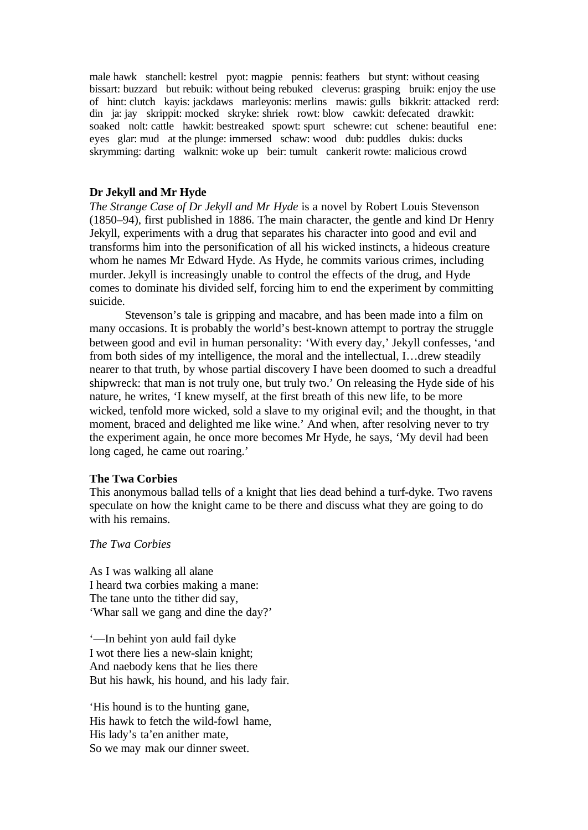male hawk stanchell: kestrel pyot: magpie pennis: feathers but stynt: without ceasing bissart: buzzard but rebuik: without being rebuked cleverus: grasping bruik: enjoy the use of hint: clutch kayis: jackdaws marleyonis: merlins mawis: gulls bikkrit: attacked rerd: din ja: jay skrippit: mocked skryke: shriek rowt: blow cawkit: defecated drawkit: soaked nolt: cattle hawkit: bestreaked spowt: spurt schewre: cut schene: beautiful ene: eyes glar: mud at the plunge: immersed schaw: wood dub: puddles dukis: ducks skrymming: darting walknit: woke up beir: tumult cankerit rowte: malicious crowd

### **Dr Jekyll and Mr Hyde**

*The Strange Case of Dr Jekyll and Mr Hyde* is a novel by Robert Louis Stevenson (1850–94), first published in 1886. The main character, the gentle and kind Dr Henry Jekyll, experiments with a drug that separates his character into good and evil and transforms him into the personification of all his wicked instincts, a hideous creature whom he names Mr Edward Hyde. As Hyde, he commits various crimes, including murder. Jekyll is increasingly unable to control the effects of the drug, and Hyde comes to dominate his divided self, forcing him to end the experiment by committing suicide.

Stevenson's tale is gripping and macabre, and has been made into a film on many occasions. It is probably the world's best-known attempt to portray the struggle between good and evil in human personality: 'With every day,' Jekyll confesses, 'and from both sides of my intelligence, the moral and the intellectual, I…drew steadily nearer to that truth, by whose partial discovery I have been doomed to such a dreadful shipwreck: that man is not truly one, but truly two.' On releasing the Hyde side of his nature, he writes, 'I knew myself, at the first breath of this new life, to be more wicked, tenfold more wicked, sold a slave to my original evil; and the thought, in that moment, braced and delighted me like wine.' And when, after resolving never to try the experiment again, he once more becomes Mr Hyde, he says, 'My devil had been long caged, he came out roaring.'

#### **The Twa Corbies**

This anonymous ballad tells of a knight that lies dead behind a turf-dyke. Two ravens speculate on how the knight came to be there and discuss what they are going to do with his remains.

### *The Twa Corbies*

As I was walking all alane I heard twa corbies making a mane: The tane unto the tither did say, 'Whar sall we gang and dine the day?'

'—In behint yon auld fail dyke I wot there lies a new-slain knight; And naebody kens that he lies there But his hawk, his hound, and his lady fair.

'His hound is to the hunting gane, His hawk to fetch the wild-fowl hame, His lady's ta'en anither mate, So we may mak our dinner sweet.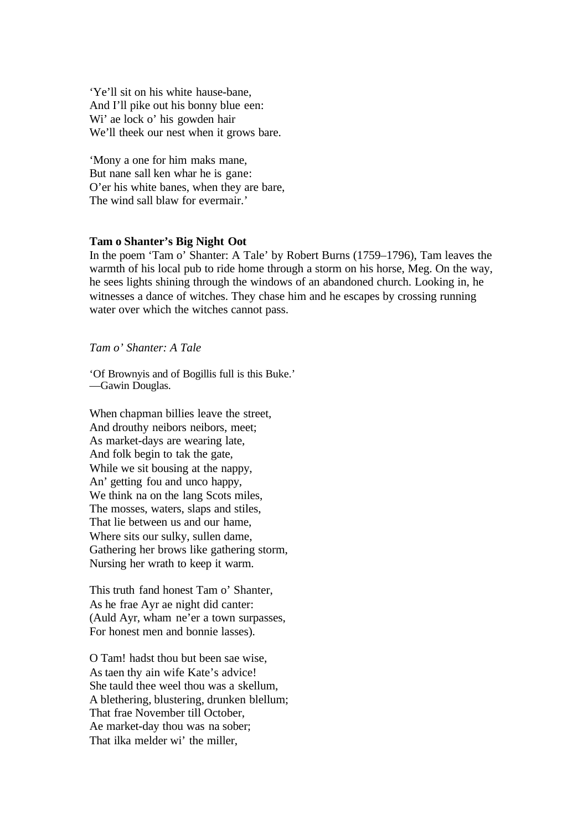'Ye'll sit on his white hause-bane, And I'll pike out his bonny blue een: Wi' ae lock o' his gowden hair We'll theek our nest when it grows bare.

'Mony a one for him maks mane, But nane sall ken whar he is gane: O'er his white banes, when they are bare, The wind sall blaw for evermair.'

### **Tam o Shanter's Big Night Oot**

In the poem 'Tam o' Shanter: A Tale' by Robert Burns (1759–1796), Tam leaves the warmth of his local pub to ride home through a storm on his horse, Meg. On the way, he sees lights shining through the windows of an abandoned church. Looking in, he witnesses a dance of witches. They chase him and he escapes by crossing running water over which the witches cannot pass.

*Tam o' Shanter: A Tale*

'Of Brownyis and of Bogillis full is this Buke.' —Gawin Douglas.

When chapman billies leave the street, And drouthy neibors neibors, meet; As market-days are wearing late, And folk begin to tak the gate, While we sit bousing at the nappy, An' getting fou and unco happy, We think na on the lang Scots miles, The mosses, waters, slaps and stiles, That lie between us and our hame, Where sits our sulky, sullen dame, Gathering her brows like gathering storm, Nursing her wrath to keep it warm.

This truth fand honest Tam o' Shanter, As he frae Ayr ae night did canter: (Auld Ayr, wham ne'er a town surpasses, For honest men and bonnie lasses).

O Tam! hadst thou but been sae wise, As taen thy ain wife Kate's advice! She tauld thee weel thou was a skellum, A blethering, blustering, drunken blellum; That frae November till October, Ae market-day thou was na sober; That ilka melder wi' the miller,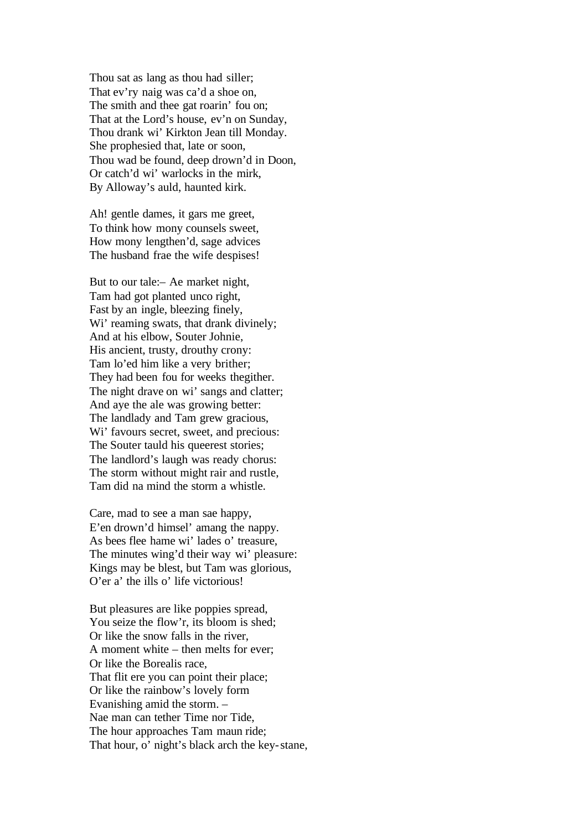Thou sat as lang as thou had siller; That ev'ry naig was ca'd a shoe on, The smith and thee gat roarin' fou on; That at the Lord's house, ev'n on Sunday, Thou drank wi' Kirkton Jean till Monday. She prophesied that, late or soon, Thou wad be found, deep drown'd in Doon, Or catch'd wi' warlocks in the mirk, By Alloway's auld, haunted kirk.

Ah! gentle dames, it gars me greet, To think how mony counsels sweet, How mony lengthen'd, sage advices The husband frae the wife despises!

But to our tale:– Ae market night, Tam had got planted unco right, Fast by an ingle, bleezing finely, Wi' reaming swats, that drank divinely: And at his elbow, Souter Johnie, His ancient, trusty, drouthy crony: Tam lo'ed him like a very brither; They had been fou for weeks thegither. The night drave on wi' sangs and clatter; And aye the ale was growing better: The landlady and Tam grew gracious, Wi' favours secret, sweet, and precious: The Souter tauld his queerest stories; The landlord's laugh was ready chorus: The storm without might rair and rustle, Tam did na mind the storm a whistle.

Care, mad to see a man sae happy, E'en drown'd himsel' amang the nappy. As bees flee hame wi' lades o' treasure, The minutes wing'd their way wi' pleasure: Kings may be blest, but Tam was glorious, O'er a' the ills o' life victorious!

But pleasures are like poppies spread, You seize the flow'r, its bloom is shed: Or like the snow falls in the river, A moment white – then melts for ever; Or like the Borealis race, That flit ere you can point their place; Or like the rainbow's lovely form Evanishing amid the storm. – Nae man can tether Time nor Tide, The hour approaches Tam maun ride; That hour, o' night's black arch the key-stane,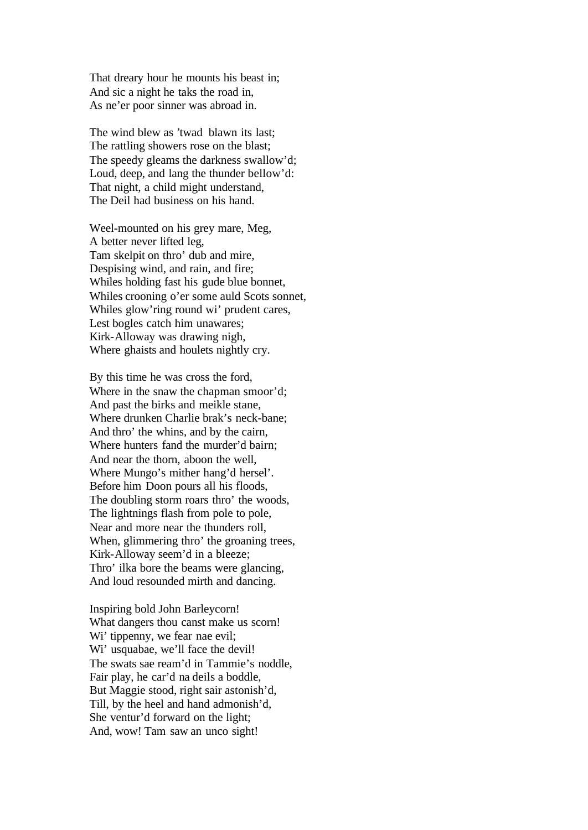That dreary hour he mounts his beast in; And sic a night he taks the road in, As ne'er poor sinner was abroad in.

The wind blew as 'twad blawn its last; The rattling showers rose on the blast; The speedy gleams the darkness swallow'd; Loud, deep, and lang the thunder bellow'd: That night, a child might understand, The Deil had business on his hand.

Weel-mounted on his grey mare, Meg, A better never lifted leg, Tam skelpit on thro' dub and mire, Despising wind, and rain, and fire; Whiles holding fast his gude blue bonnet, Whiles crooning o'er some auld Scots sonnet, Whiles glow'ring round wi' prudent cares, Lest bogles catch him unawares; Kirk-Alloway was drawing nigh, Where ghaists and houlets nightly cry.

By this time he was cross the ford, Where in the snaw the chapman smoor'd; And past the birks and meikle stane, Where drunken Charlie brak's neck-bane; And thro' the whins, and by the cairn, Where hunters fand the murder'd bairn; And near the thorn, aboon the well, Where Mungo's mither hang'd hersel'. Before him Doon pours all his floods, The doubling storm roars thro' the woods, The lightnings flash from pole to pole, Near and more near the thunders roll, When, glimmering thro' the groaning trees, Kirk-Alloway seem'd in a bleeze; Thro' ilka bore the beams were glancing, And loud resounded mirth and dancing.

Inspiring bold John Barleycorn! What dangers thou canst make us scorn! Wi' tippenny, we fear nae evil; Wi' usquabae, we'll face the devil! The swats sae ream'd in Tammie's noddle, Fair play, he car'd na deils a boddle, But Maggie stood, right sair astonish'd, Till, by the heel and hand admonish'd, She ventur'd forward on the light; And, wow! Tam saw an unco sight!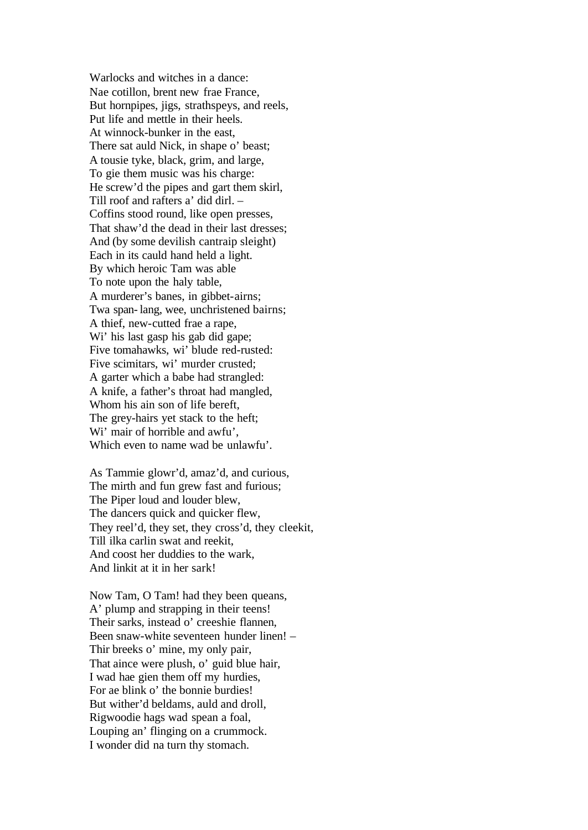Warlocks and witches in a dance: Nae cotillon, brent new frae France, But hornpipes, jigs, strathspeys, and reels, Put life and mettle in their heels. At winnock-bunker in the east, There sat auld Nick, in shape o' beast; A tousie tyke, black, grim, and large, To gie them music was his charge: He screw'd the pipes and gart them skirl, Till roof and rafters a' did dirl. – Coffins stood round, like open presses, That shaw'd the dead in their last dresses; And (by some devilish cantraip sleight) Each in its cauld hand held a light. By which heroic Tam was able To note upon the haly table, A murderer's banes, in gibbet-airns; Twa span-lang, wee, unchristened bairns; A thief, new-cutted frae a rape, Wi' his last gasp his gab did gape; Five tomahawks, wi' blude red-rusted: Five scimitars, wi' murder crusted; A garter which a babe had strangled: A knife, a father's throat had mangled, Whom his ain son of life bereft, The grey-hairs yet stack to the heft; Wi' mair of horrible and awfu', Which even to name wad be unlawfu'.

As Tammie glowr'd, amaz'd, and curious, The mirth and fun grew fast and furious; The Piper loud and louder blew, The dancers quick and quicker flew, They reel'd, they set, they cross'd, they cleekit, Till ilka carlin swat and reekit, And coost her duddies to the wark, And linkit at it in her sark!

Now Tam, O Tam! had they been queans, A' plump and strapping in their teens! Their sarks, instead o' creeshie flannen, Been snaw-white seventeen hunder linen! – Thir breeks o' mine, my only pair, That aince were plush, o' guid blue hair, I wad hae gien them off my hurdies, For ae blink o' the bonnie burdies! But wither'd beldams, auld and droll, Rigwoodie hags wad spean a foal, Louping an' flinging on a crummock. I wonder did na turn thy stomach.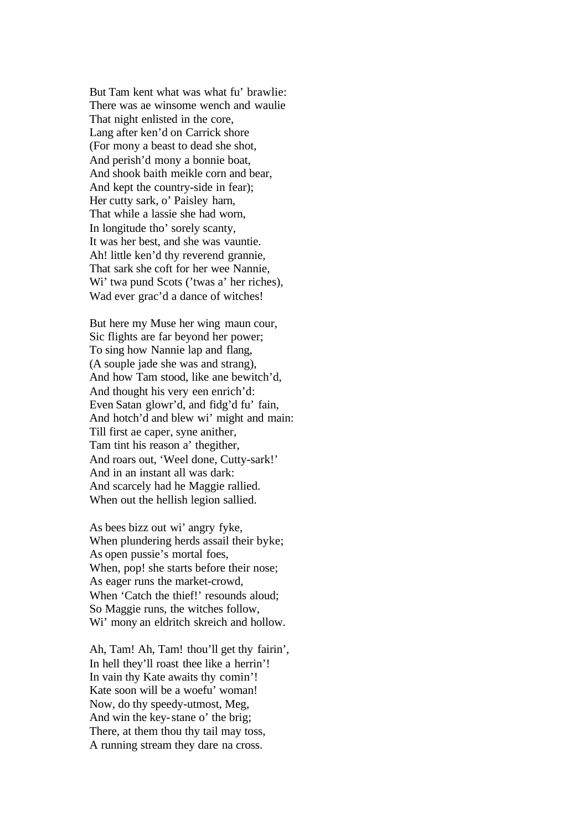But Tam kent what was what fu' brawlie: There was ae winsome wench and waulie That night enlisted in the core, Lang after ken'd on Carrick shore (For mony a beast to dead she shot, And perish'd mony a bonnie boat, And shook baith meikle corn and bear, And kept the country-side in fear); Her cutty sark, o' Paisley harn, That while a lassie she had worn, In longitude tho' sorely scanty, It was her best, and she was vauntie. Ah! little ken'd thy reverend grannie, That sark she coft for her wee Nannie, Wi' twa pund Scots ('twas a' her riches), Wad ever grac'd a dance of witches!

But here my Muse her wing maun cour, Sic flights are far beyond her power; To sing how Nannie lap and flang, (A souple jade she was and strang), And how Tam stood, like ane bewitch'd, And thought his very een enrich'd: Even Satan glowr'd, and fidg'd fu' fain, And hotch'd and blew wi' might and main: Till first ae caper, syne anither, Tam tint his reason a' thegither, And roars out, 'Weel done, Cutty-sark!' And in an instant all was dark: And scarcely had he Maggie rallied. When out the hellish legion sallied.

As bees bizz out wi' angry fyke, When plundering herds assail their byke; As open pussie's mortal foes, When, pop! she starts before their nose; As eager runs the market-crowd, When 'Catch the thief!' resounds aloud: So Maggie runs, the witches follow, Wi' mony an eldritch skreich and hollow.

Ah, Tam! Ah, Tam! thou'll get thy fairin', In hell they'll roast thee like a herrin'! In vain thy Kate awaits thy comin'! Kate soon will be a woefu' woman! Now, do thy speedy-utmost, Meg, And win the key-stane o' the brig; There, at them thou thy tail may toss, A running stream they dare na cross.